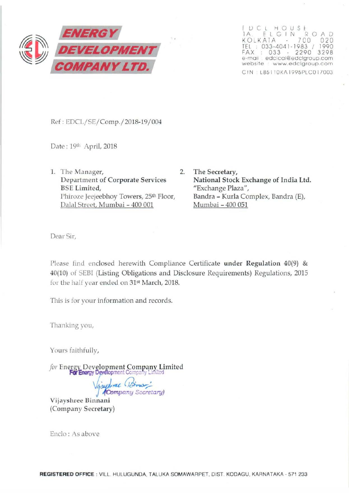

DCL HOUSE lA E L G I N R 0 A 0 KOLKATA - 700 020 TEL : 033-4041-1983 / 1990 FAX : 033 - 2290 3298 e-mail edclcal@edclaroup.com website www.edclgroup.com C IN L85 1 10KA 1995PLC017003

Ref: EDCL/SE/Comp./ 2018-19/004

Date: 19th April, 2018

1. The Manager, 2. Department of Corporate Services BSE Limited, Phiroze Jeejeebhoy Towers, 25<sup>th</sup> Floor, Dalal Street, Mumbai- 400 001

The Secretary, National Stock Exchange of India Ltd. "Exchange Plaza", Bandra ~ Kurla Complex, Bandra (E), Mumbai - 400 051

Dear Sir,

Please find enclosed herewith Compliance Certificate under Regulation 40(9) & 40(10) of SEBI (Listing Obligations and Disclosure Requirements) Regulations, 2015 for the half year ended on 31st March, 2018.

This is for your information and records.

fhanking you,

Yours faithfully,

*for Energy Development Company Limited* **For Energy Development** Company Limited

*\ijayhvec* (*)Sirwar*'<br>Company Secretary)

Vijayshree Binnani (Company Secretary)

Enclo : As above